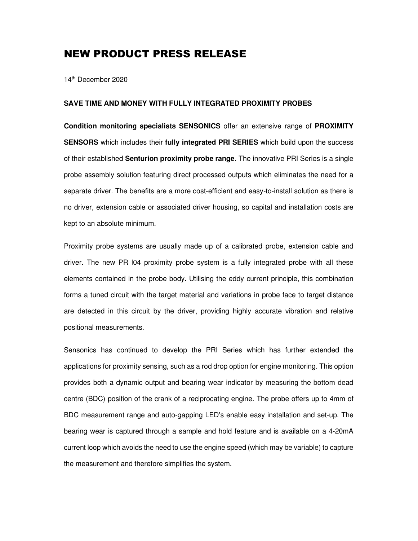## NEW PRODUCT PRESS RELEASE

14th December 2020

## **SAVE TIME AND MONEY WITH FULLY INTEGRATED PROXIMITY PROBES**

**Condition monitoring specialists SENSONICS** offer an extensive range of **PROXIMITY SENSORS** which includes their **fully integrated PRI SERIES** which build upon the success of their established **Senturion proximity probe range**. The innovative PRI Series is a single probe assembly solution featuring direct processed outputs which eliminates the need for a separate driver. The benefits are a more cost-efficient and easy-to-install solution as there is no driver, extension cable or associated driver housing, so capital and installation costs are kept to an absolute minimum.

Proximity probe systems are usually made up of a calibrated probe, extension cable and driver. The new PR l04 proximity probe system is a fully integrated probe with all these elements contained in the probe body. Utilising the eddy current principle, this combination forms a tuned circuit with the target material and variations in probe face to target distance are detected in this circuit by the driver, providing highly accurate vibration and relative positional measurements.

Sensonics has continued to develop the PRI Series which has further extended the applications for proximity sensing, such as a rod drop option for engine monitoring. This option provides both a dynamic output and bearing wear indicator by measuring the bottom dead centre (BDC) position of the crank of a reciprocating engine. The probe offers up to 4mm of BDC measurement range and auto-gapping LED's enable easy installation and set-up. The bearing wear is captured through a sample and hold feature and is available on a 4-20mA current loop which avoids the need to use the engine speed (which may be variable) to capture the measurement and therefore simplifies the system.